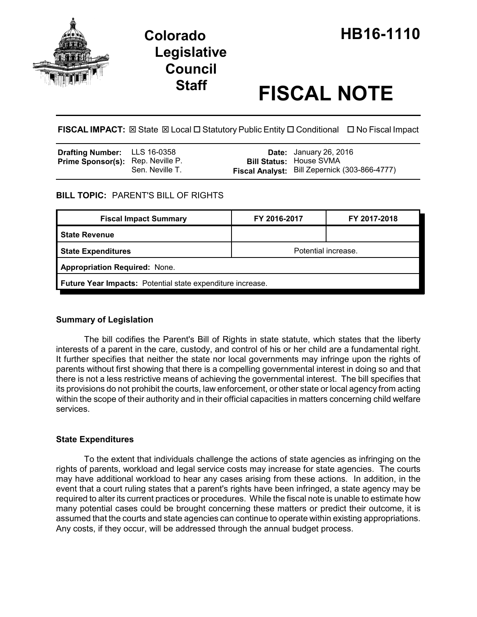

# **Legislative Council**

# **Staff FISCAL NOTE**

**FISCAL IMPACT:** ⊠ State ⊠ Local □ Statutory Public Entity □ Conditional □ No Fiscal Impact

| Drafting Number: LLS 16-0358      |                 | <b>Date:</b> January 26, 2016                 |
|-----------------------------------|-----------------|-----------------------------------------------|
| Prime Sponsor(s): Rep. Neville P. |                 | <b>Bill Status: House SVMA</b>                |
|                                   | Sen. Neville T. | Fiscal Analyst: Bill Zepernick (303-866-4777) |

# **BILL TOPIC:** PARENT'S BILL OF RIGHTS

| <b>Fiscal Impact Summary</b>                               | FY 2016-2017        | FY 2017-2018 |  |  |  |
|------------------------------------------------------------|---------------------|--------------|--|--|--|
| <b>State Revenue</b>                                       |                     |              |  |  |  |
| <b>State Expenditures</b>                                  | Potential increase. |              |  |  |  |
| <b>Appropriation Required: None.</b>                       |                     |              |  |  |  |
| Future Year Impacts: Potential state expenditure increase. |                     |              |  |  |  |

## **Summary of Legislation**

The bill codifies the Parent's Bill of Rights in state statute, which states that the liberty interests of a parent in the care, custody, and control of his or her child are a fundamental right. It further specifies that neither the state nor local governments may infringe upon the rights of parents without first showing that there is a compelling governmental interest in doing so and that there is not a less restrictive means of achieving the governmental interest. The bill specifies that its provisions do not prohibit the courts, law enforcement, or other state or local agency from acting within the scope of their authority and in their official capacities in matters concerning child welfare services.

## **State Expenditures**

To the extent that individuals challenge the actions of state agencies as infringing on the rights of parents, workload and legal service costs may increase for state agencies. The courts may have additional workload to hear any cases arising from these actions. In addition, in the event that a court ruling states that a parent's rights have been infringed, a state agency may be required to alter its current practices or procedures. While the fiscal note is unable to estimate how many potential cases could be brought concerning these matters or predict their outcome, it is assumed that the courts and state agencies can continue to operate within existing appropriations. Any costs, if they occur, will be addressed through the annual budget process.